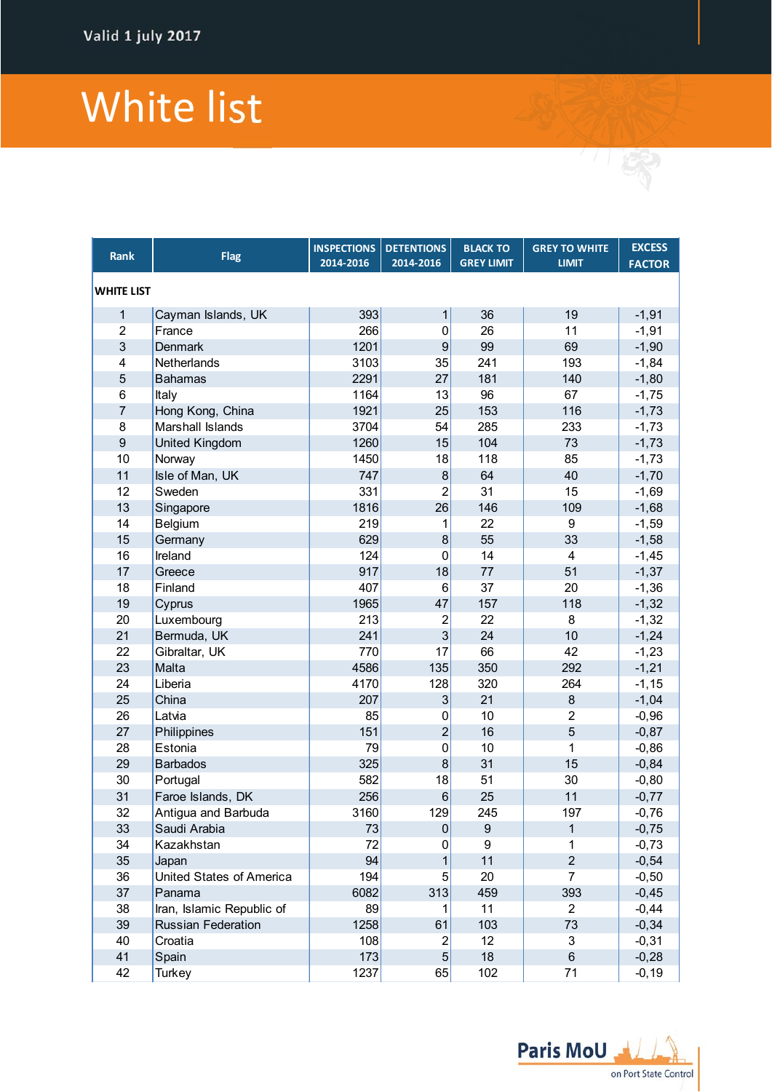## White list

| Rank                    | <b>Flag</b>               | <b>INSPECTIONS</b><br>2014-2016 | <b>DETENTIONS</b><br>2014-2016 | <b>BLACK TO</b><br><b>GREY LIMIT</b> | <b>GREY TO WHITE</b><br><b>LIMIT</b> | <b>EXCESS</b><br><b>FACTOR</b> |  |  |
|-------------------------|---------------------------|---------------------------------|--------------------------------|--------------------------------------|--------------------------------------|--------------------------------|--|--|
| <b>WHITE LIST</b>       |                           |                                 |                                |                                      |                                      |                                |  |  |
| 1                       | Cayman Islands, UK        | 393                             | 1                              | 36                                   | 19                                   | $-1,91$                        |  |  |
| $\overline{2}$          | France                    | 266                             | $\mathbf 0$                    | 26                                   | 11                                   | $-1,91$                        |  |  |
| 3                       | <b>Denmark</b>            | 1201                            | $\boldsymbol{9}$               | 99                                   | 69                                   | $-1,90$                        |  |  |
| $\overline{\mathbf{4}}$ | Netherlands               | 3103                            | 35                             | 241                                  | 193                                  | $-1,84$                        |  |  |
| 5                       | <b>Bahamas</b>            | 2291                            | 27                             | 181                                  | 140                                  | $-1,80$                        |  |  |
| 6                       | Italy                     | 1164                            | 13                             | 96                                   | 67                                   | $-1,75$                        |  |  |
| $\overline{7}$          | Hong Kong, China          | 1921                            | 25                             | 153                                  | 116                                  | $-1,73$                        |  |  |
| 8                       | Marshall Islands          | 3704                            | 54                             | 285                                  | 233                                  | $-1,73$                        |  |  |
| $\boldsymbol{9}$        | <b>United Kingdom</b>     | 1260                            | 15                             | 104                                  | 73                                   | $-1,73$                        |  |  |
| 10                      | Norway                    | 1450                            | 18                             | 118                                  | 85                                   | $-1,73$                        |  |  |
| 11                      | Isle of Man, UK           | 747                             | $\bf 8$                        | 64                                   | 40                                   | $-1,70$                        |  |  |
| 12                      | Sweden                    | 331                             | $\overline{2}$                 | 31                                   | 15                                   | $-1,69$                        |  |  |
| 13                      | Singapore                 | 1816                            | 26                             | 146                                  | 109                                  | $-1,68$                        |  |  |
| 14                      | Belgium                   | 219                             | $\mathbf{1}$                   | 22                                   | 9                                    | $-1,59$                        |  |  |
| 15                      | Germany                   | 629                             | 8                              | 55                                   | 33                                   | $-1,58$                        |  |  |
| 16                      | Ireland                   | 124                             | $\mathbf{0}$                   | 14                                   | 4                                    | $-1,45$                        |  |  |
| 17                      | Greece                    | 917                             | 18                             | 77                                   | 51                                   | $-1,37$                        |  |  |
| 18                      | Finland                   | 407                             | $6\phantom{1}6$                | 37                                   | 20                                   | $-1,36$                        |  |  |
| 19                      | Cyprus                    | 1965                            | 47                             | 157                                  | 118                                  | $-1,32$                        |  |  |
| 20                      | Luxembourg                | 213                             | $\overline{c}$                 | 22                                   | 8                                    | $-1,32$                        |  |  |
| 21                      | Bermuda, UK               | 241                             | 3                              | 24                                   | 10                                   | $-1,24$                        |  |  |
| 22                      | Gibraltar, UK             | 770                             | 17                             | 66                                   | 42                                   | $-1,23$                        |  |  |
| 23                      | Malta                     | 4586                            | 135                            | 350                                  | 292                                  | $-1,21$                        |  |  |
| 24                      | Liberia                   | 4170                            | 128                            | 320                                  | 264                                  | $-1, 15$                       |  |  |
| 25                      | China                     | 207                             | $\ensuremath{\mathsf{3}}$      | 21                                   | $\bf 8$                              | $-1,04$                        |  |  |
| 26                      | Latvia                    | 85                              | 0                              | 10                                   | $\overline{2}$                       | $-0,96$                        |  |  |
| 27                      | Philippines               | 151                             | $\overline{2}$                 | 16                                   | $\overline{5}$                       | $-0,87$                        |  |  |
| 28                      | Estonia                   | 79                              | $\pmb{0}$                      | 10                                   | 1                                    | $-0,86$                        |  |  |
| 29                      | <b>Barbados</b>           | 325                             | 8                              | 31                                   | 15                                   | $-0,84$                        |  |  |
| 30                      | Portugal                  | 582                             | 18                             | 51                                   | 30                                   | $-0,80$                        |  |  |
| 31                      | Faroe Islands, DK         | 256                             | $\,6$                          | 25                                   | 11                                   | $-0,77$                        |  |  |
| 32                      | Antigua and Barbuda       | 3160                            | 129                            | 245                                  | 197                                  | $-0,76$                        |  |  |
| 33                      | Saudi Arabia              | 73                              | $\mathbf 0$                    | 9                                    | 1                                    | $-0,75$                        |  |  |
| 34                      | Kazakhstan                | 72                              | 0                              | 9                                    | 1                                    | $-0,73$                        |  |  |
| 35                      | Japan                     | 94                              | $\mathbf{1}$                   | 11                                   | $\overline{2}$                       | $-0,54$                        |  |  |
| 36                      | United States of America  | 194                             | 5                              | 20                                   | $\overline{7}$                       | $-0,50$                        |  |  |
| 37                      | Panama                    | 6082                            | 313                            | 459                                  | 393                                  | $-0,45$                        |  |  |
| 38                      | Iran, Islamic Republic of | 89                              | 1                              | 11                                   | $\overline{2}$                       | $-0,44$                        |  |  |
| 39                      | Russian Federation        | 1258                            | 61                             | 103                                  | 73                                   | $-0,34$                        |  |  |
| 40                      | Croatia                   | 108                             | $\overline{\mathbf{c}}$        | 12                                   | 3                                    | $-0,31$                        |  |  |
| 41                      | Spain                     | 173                             | 5 <sup>5</sup>                 | 18                                   | $\,6\,$                              | $-0,28$                        |  |  |
| 42                      | Turkey                    | 1237                            | 65                             | 102                                  | 71                                   | $-0, 19$                       |  |  |

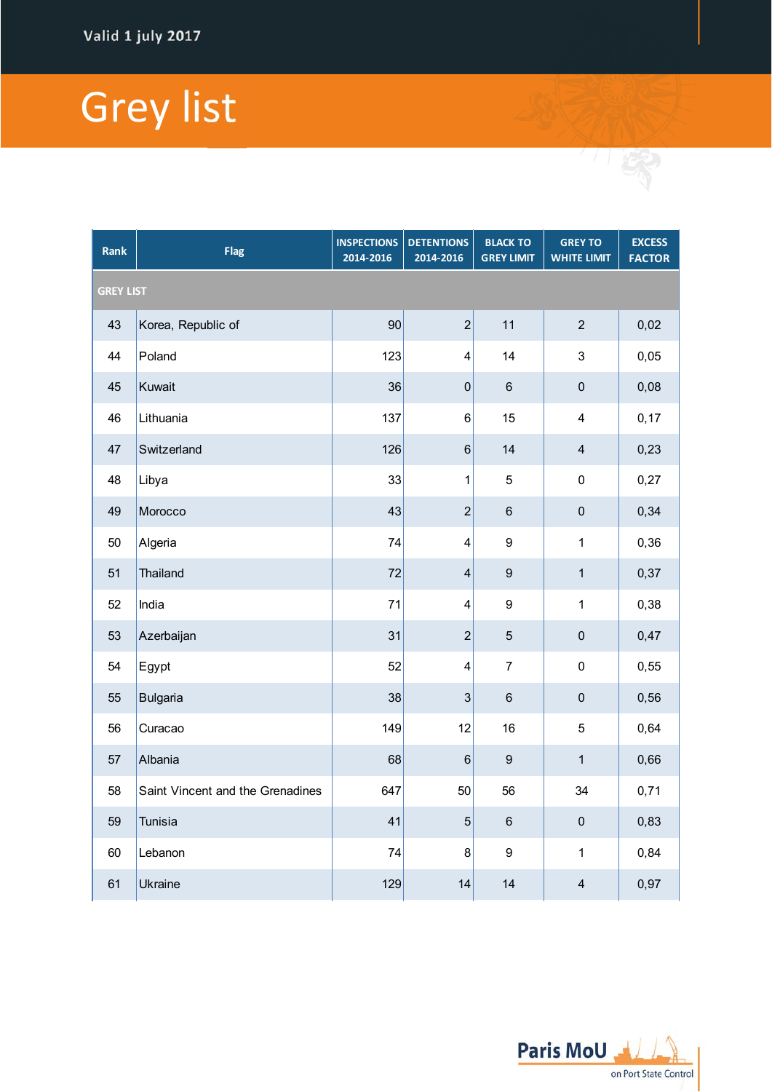## Grey list

| <b>Rank</b>      | <b>Flag</b>                      | <b>INSPECTIONS</b><br>2014-2016 | <b>DETENTIONS</b><br>2014-2016 | <b>BLACK TO</b><br><b>GREY LIMIT</b> | <b>GREY TO</b><br><b>WHITE LIMIT</b> | <b>EXCESS</b><br><b>FACTOR</b> |  |  |  |
|------------------|----------------------------------|---------------------------------|--------------------------------|--------------------------------------|--------------------------------------|--------------------------------|--|--|--|
| <b>GREY LIST</b> |                                  |                                 |                                |                                      |                                      |                                |  |  |  |
| 43               | Korea, Republic of               | 90                              | $\overline{c}$                 | 11                                   | $\mathbf 2$                          | 0,02                           |  |  |  |
| 44               | Poland                           | 123                             | $\overline{\mathbf{4}}$        | 14                                   | $\ensuremath{\mathsf{3}}$            | 0,05                           |  |  |  |
| 45               | Kuwait                           | 36                              | $\mathbf 0$                    | $\,6\,$                              | $\mathbf 0$                          | 0,08                           |  |  |  |
| 46               | Lithuania                        | 137                             | 6                              | 15                                   | 4                                    | 0,17                           |  |  |  |
| 47               | Switzerland                      | 126                             | $\,$ 6 $\,$                    | 14                                   | $\overline{\mathbf{4}}$              | 0,23                           |  |  |  |
| 48               | Libya                            | 33                              | 1                              | 5                                    | $\mathsf 0$                          | 0,27                           |  |  |  |
| 49               | Morocco                          | 43                              | $\overline{c}$                 | $\,6\,$                              | $\mathbf 0$                          | 0,34                           |  |  |  |
| 50               | Algeria                          | 74                              | $\overline{\mathbf{4}}$        | $\boldsymbol{9}$                     | 1                                    | 0,36                           |  |  |  |
| 51               | <b>Thailand</b>                  | 72                              | $\overline{\mathbf{4}}$        | $\boldsymbol{9}$                     | $\mathbf 1$                          | 0,37                           |  |  |  |
| 52               | India                            | 71                              | $\overline{\mathbf{4}}$        | $\boldsymbol{9}$                     | 1                                    | 0,38                           |  |  |  |
| 53               | Azerbaijan                       | 31                              | $\overline{c}$                 | $\overline{5}$                       | $\mathbf 0$                          | 0,47                           |  |  |  |
| 54               | Egypt                            | 52                              | $\overline{\mathbf{4}}$        | $\overline{7}$                       | $\pmb{0}$                            | 0,55                           |  |  |  |
| 55               | <b>Bulgaria</b>                  | 38                              | 3                              | $\,6$                                | $\pmb{0}$                            | 0,56                           |  |  |  |
| 56               | Curacao                          | 149                             | 12                             | 16                                   | 5                                    | 0,64                           |  |  |  |
| 57               | Albania                          | 68                              | $6\phantom{1}6$                | $\boldsymbol{9}$                     | $\mathbf{1}$                         | 0,66                           |  |  |  |
| 58               | Saint Vincent and the Grenadines | 647                             | 50                             | 56                                   | 34                                   | 0,71                           |  |  |  |
| 59               | <b>Tunisia</b>                   | 41                              | $\overline{5}$                 | $\,6$                                | $\mathbf 0$                          | 0,83                           |  |  |  |
| 60               | Lebanon                          | 74                              | 8                              | $\boldsymbol{9}$                     | 1                                    | 0,84                           |  |  |  |
| 61               | Ukraine                          | 129                             | 14                             | 14                                   | $\overline{\mathbf{4}}$              | 0,97                           |  |  |  |



/ 「 安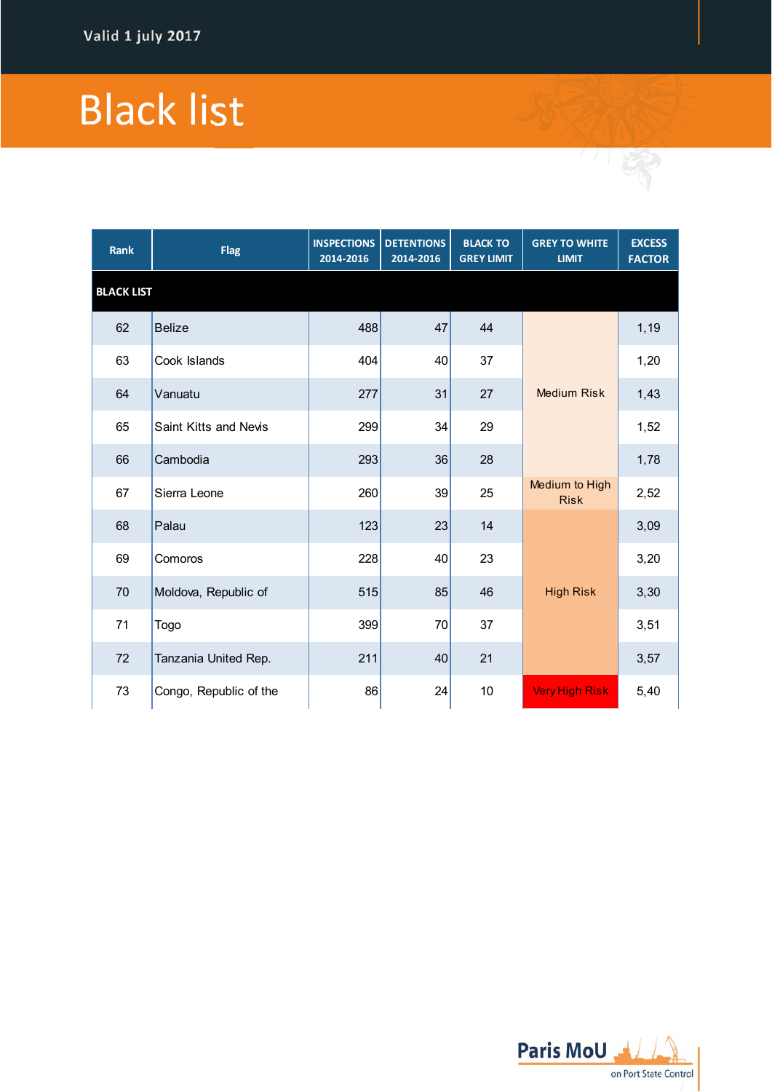## Black list

| Rank              | <b>Flag</b>            | <b>INSPECTIONS</b><br>2014-2016 | <b>DETENTIONS</b><br>2014-2016 | <b>BLACK TO</b><br><b>GREY LIMIT</b> | <b>GREY TO WHITE</b><br><b>LIMIT</b> | <b>EXCESS</b><br><b>FACTOR</b> |
|-------------------|------------------------|---------------------------------|--------------------------------|--------------------------------------|--------------------------------------|--------------------------------|
| <b>BLACK LIST</b> |                        |                                 |                                |                                      |                                      |                                |
| 62                | <b>Belize</b>          | 488                             | 47                             | 44                                   |                                      | 1,19                           |
| 63                | Cook Islands           | 404                             | 40                             | 37                                   |                                      | 1,20                           |
| 64                | Vanuatu                | 277                             | 31                             | 27                                   | <b>Medium Risk</b>                   | 1,43                           |
| 65                | Saint Kitts and Nevis  | 299                             | 34                             | 29                                   |                                      | 1,52                           |
| 66                | Cambodia               | 293                             | 36                             | 28                                   |                                      | 1,78                           |
| 67                | Sierra Leone           | 260                             | 39                             | 25                                   | Medium to High<br><b>Risk</b>        | 2,52                           |
| 68                | Palau                  | 123                             | 23                             | 14                                   |                                      | 3,09                           |
| 69                | Comoros                | 228                             | 40                             | 23                                   |                                      | 3,20                           |
| 70                | Moldova, Republic of   | 515                             | 85                             | 46                                   | <b>High Risk</b>                     | 3,30                           |
| 71                | Togo                   | 399                             | 70                             | 37                                   |                                      | 3,51                           |
| 72                | Tanzania United Rep.   | 211                             | 40                             | 21                                   |                                      | 3,57                           |
| 73                | Congo, Republic of the | 86                              | 24                             | 10                                   | <b>Very High Risk</b>                | 5,40                           |